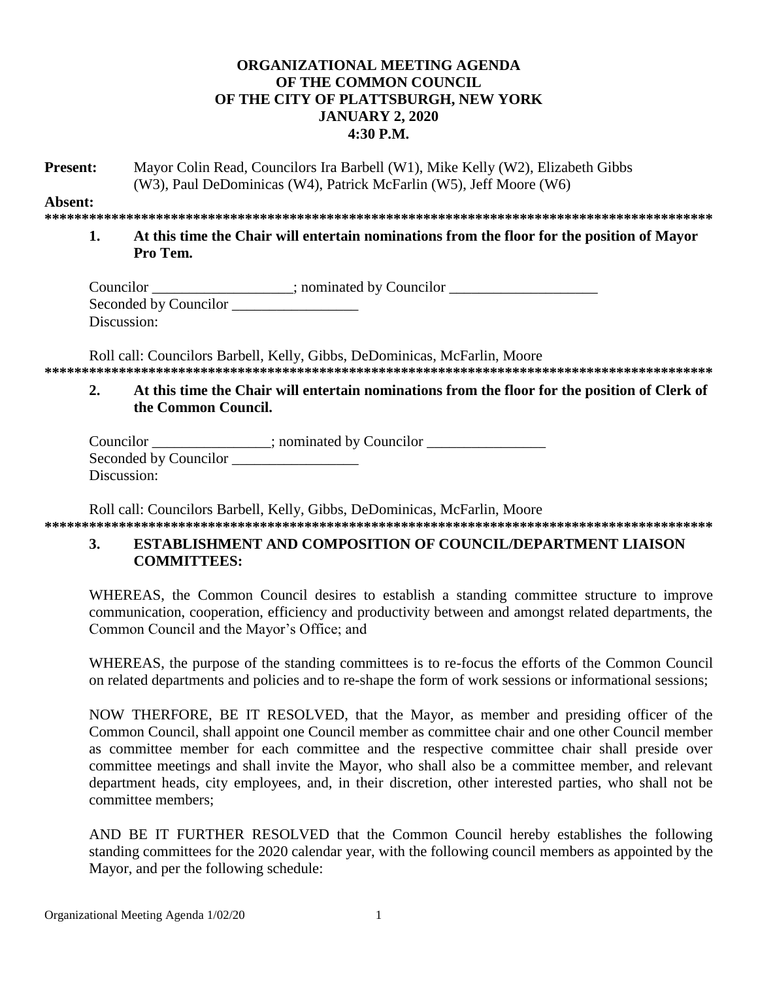## **ORGANIZATIONAL MEETING AGENDA OF THE COMMON COUNCIL OF THE CITY OF PLATTSBURGH, NEW YORK JANUARY 2, 2020 4:30 P.M.**

**Present:** Mayor Colin Read, Councilors Ira Barbell (W1), Mike Kelly (W2), Elizabeth Gibbs (W3), Paul DeDominicas (W4), Patrick McFarlin (W5), Jeff Moore (W6)

**Absent:**

- **\*\*\*\*\*\*\*\*\*\*\*\*\*\*\*\*\*\*\*\*\*\*\*\*\*\*\*\*\*\*\*\*\*\*\*\*\*\*\*\*\*\*\*\*\*\*\*\*\*\*\*\*\*\*\*\*\*\*\*\*\*\*\*\*\*\*\*\*\*\*\*\*\*\*\*\*\*\*\*\*\*\*\*\*\*\*\*\*\*\***
	- **1. At this time the Chair will entertain nominations from the floor for the position of Mayor Pro Tem.**

| Councilor             | ; nominated by Councilor |
|-----------------------|--------------------------|
| Seconded by Councilor |                          |
| Discussion:           |                          |

Roll call: Councilors Barbell, Kelly, Gibbs, DeDominicas, McFarlin, Moore **\*\*\*\*\*\*\*\*\*\*\*\*\*\*\*\*\*\*\*\*\*\*\*\*\*\*\*\*\*\*\*\*\*\*\*\*\*\*\*\*\*\*\*\*\*\*\*\*\*\*\*\*\*\*\*\*\*\*\*\*\*\*\*\*\*\*\*\*\*\*\*\*\*\*\*\*\*\*\*\*\*\*\*\*\*\*\*\*\*\***

## **2. At this time the Chair will entertain nominations from the floor for the position of Clerk of the Common Council.**

| Councilor             | ; nominated by Councilor |
|-----------------------|--------------------------|
| Seconded by Councilor |                          |
| Discussion:           |                          |

Roll call: Councilors Barbell, Kelly, Gibbs, DeDominicas, McFarlin, Moore **\*\*\*\*\*\*\*\*\*\*\*\*\*\*\*\*\*\*\*\*\*\*\*\*\*\*\*\*\*\*\*\*\*\*\*\*\*\*\*\*\*\*\*\*\*\*\*\*\*\*\*\*\*\*\*\*\*\*\*\*\*\*\*\*\*\*\*\*\*\*\*\*\*\*\*\*\*\*\*\*\*\*\*\*\*\*\*\*\*\***

# **3. ESTABLISHMENT AND COMPOSITION OF COUNCIL/DEPARTMENT LIAISON COMMITTEES:**

WHEREAS, the Common Council desires to establish a standing committee structure to improve communication, cooperation, efficiency and productivity between and amongst related departments, the Common Council and the Mayor's Office; and

WHEREAS, the purpose of the standing committees is to re-focus the efforts of the Common Council on related departments and policies and to re-shape the form of work sessions or informational sessions;

NOW THERFORE, BE IT RESOLVED, that the Mayor, as member and presiding officer of the Common Council, shall appoint one Council member as committee chair and one other Council member as committee member for each committee and the respective committee chair shall preside over committee meetings and shall invite the Mayor, who shall also be a committee member, and relevant department heads, city employees, and, in their discretion, other interested parties, who shall not be committee members;

AND BE IT FURTHER RESOLVED that the Common Council hereby establishes the following standing committees for the 2020 calendar year, with the following council members as appointed by the Mayor, and per the following schedule: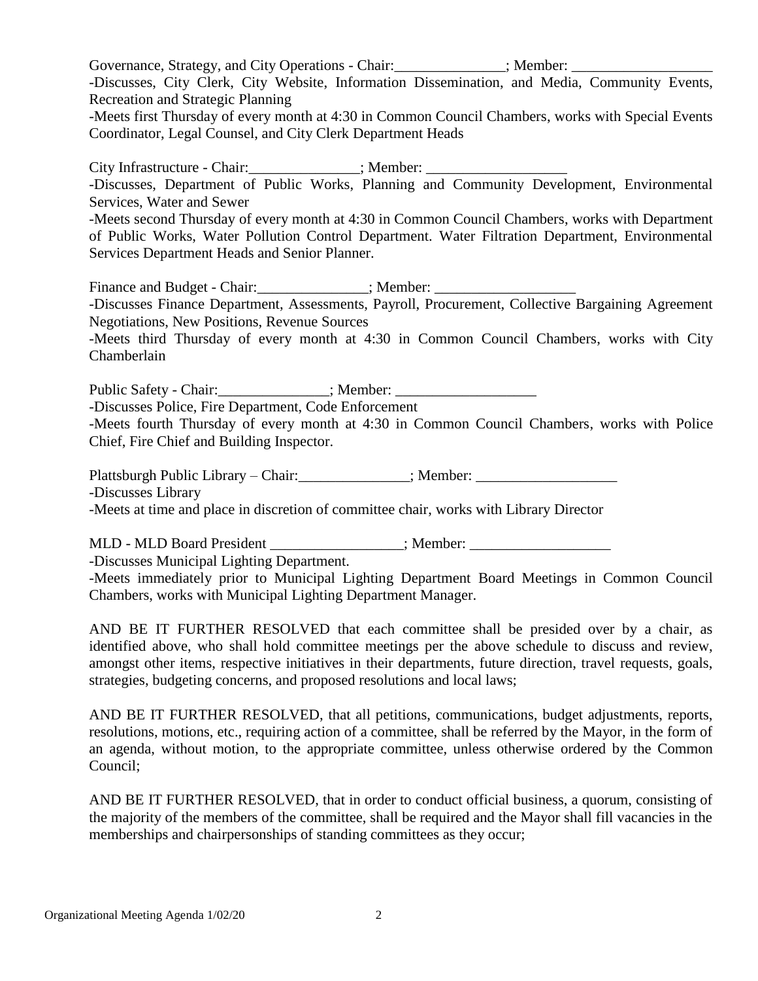Governance, Strategy, and City Operations - Chair:  $\qquad \qquad$  : Member: -Discusses, City Clerk, City Website, Information Dissemination, and Media, Community Events, Recreation and Strategic Planning -Meets first Thursday of every month at 4:30 in Common Council Chambers, works with Special Events Coordinator, Legal Counsel, and City Clerk Department Heads

City Infrastructure - Chair:  $\qquad \qquad$ : Member: -Discusses, Department of Public Works, Planning and Community Development, Environmental Services, Water and Sewer -Meets second Thursday of every month at 4:30 in Common Council Chambers, works with Department of Public Works, Water Pollution Control Department. Water Filtration Department, Environmental

Services Department Heads and Senior Planner.

Finance and Budget - Chair:\_\_\_\_\_\_\_\_\_\_\_\_\_\_\_; Member: \_\_\_\_\_\_\_\_\_\_\_\_\_\_\_\_\_\_\_ -Discusses Finance Department, Assessments, Payroll, Procurement, Collective Bargaining Agreement Negotiations, New Positions, Revenue Sources

-Meets third Thursday of every month at 4:30 in Common Council Chambers, works with City Chamberlain

Public Safety - Chair:  $\qquad \qquad$  ; Member:

-Discusses Police, Fire Department, Code Enforcement

-Meets fourth Thursday of every month at 4:30 in Common Council Chambers, works with Police Chief, Fire Chief and Building Inspector.

Plattsburgh Public Library – Chair:  $\qquad \qquad$  ; Member:

-Discusses Library

-Meets at time and place in discretion of committee chair, works with Library Director

MLD - MLD Board President  $\therefore$  Member:

-Discusses Municipal Lighting Department.

-Meets immediately prior to Municipal Lighting Department Board Meetings in Common Council Chambers, works with Municipal Lighting Department Manager.

AND BE IT FURTHER RESOLVED that each committee shall be presided over by a chair, as identified above, who shall hold committee meetings per the above schedule to discuss and review, amongst other items, respective initiatives in their departments, future direction, travel requests, goals, strategies, budgeting concerns, and proposed resolutions and local laws;

AND BE IT FURTHER RESOLVED, that all petitions, communications, budget adjustments, reports, resolutions, motions, etc., requiring action of a committee, shall be referred by the Mayor, in the form of an agenda, without motion, to the appropriate committee, unless otherwise ordered by the Common Council;

AND BE IT FURTHER RESOLVED, that in order to conduct official business, a quorum, consisting of the majority of the members of the committee, shall be required and the Mayor shall fill vacancies in the memberships and chairpersonships of standing committees as they occur;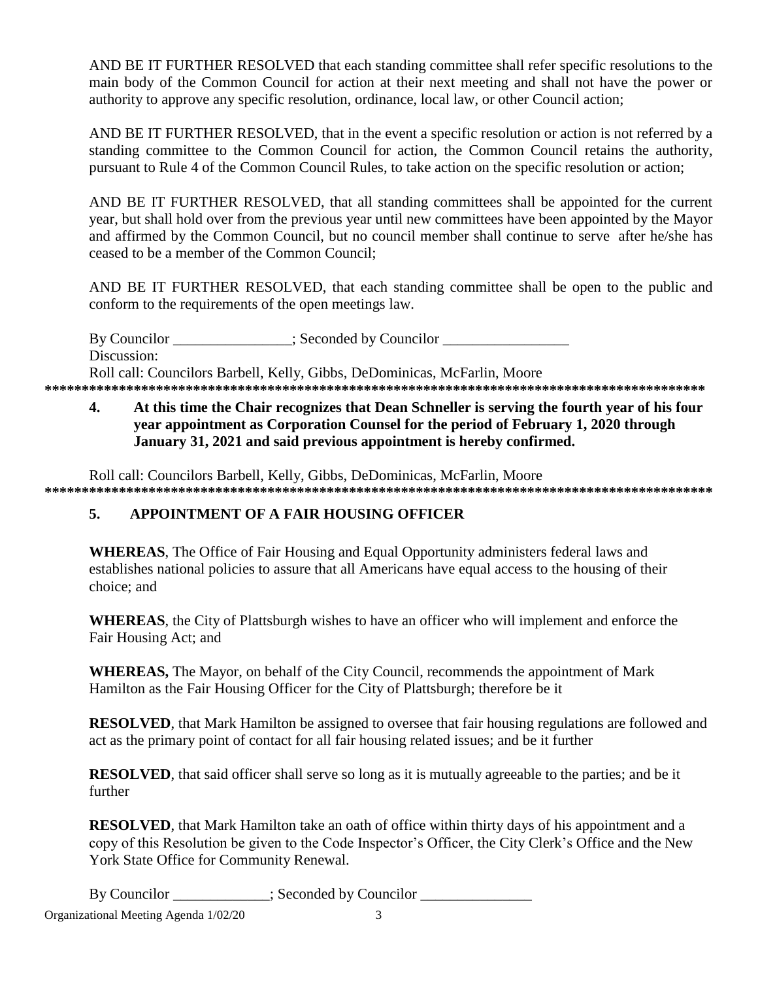AND BE IT FURTHER RESOLVED that each standing committee shall refer specific resolutions to the main body of the Common Council for action at their next meeting and shall not have the power or authority to approve any specific resolution, ordinance, local law, or other Council action;

AND BE IT FURTHER RESOLVED, that in the event a specific resolution or action is not referred by a standing committee to the Common Council for action, the Common Council retains the authority, pursuant to Rule 4 of the Common Council Rules, to take action on the specific resolution or action;

AND BE IT FURTHER RESOLVED, that all standing committees shall be appointed for the current year, but shall hold over from the previous year until new committees have been appointed by the Mayor and affirmed by the Common Council, but no council member shall continue to serve after he/she has ceased to be a member of the Common Council;

AND BE IT FURTHER RESOLVED, that each standing committee shall be open to the public and conform to the requirements of the open meetings law.

By Councilor  $\qquad \qquad :$  Seconded by Councilor Discussion: Roll call: Councilors Barbell, Kelly, Gibbs, DeDominicas, McFarlin, Moore **\*\*\*\*\*\*\*\*\*\*\*\*\*\*\*\*\*\*\*\*\*\*\*\*\*\*\*\*\*\*\*\*\*\*\*\*\*\*\*\*\*\*\*\*\*\*\*\*\*\*\*\*\*\*\*\*\*\*\*\*\*\*\*\*\*\*\*\*\*\*\*\*\*\*\*\*\*\*\*\*\*\*\*\*\*\*\*\*\***

# **4. At this time the Chair recognizes that Dean Schneller is serving the fourth year of his four year appointment as Corporation Counsel for the period of February 1, 2020 through January 31, 2021 and said previous appointment is hereby confirmed.**

Roll call: Councilors Barbell, Kelly, Gibbs, DeDominicas, McFarlin, Moore **\*\*\*\*\*\*\*\*\*\*\*\*\*\*\*\*\*\*\*\*\*\*\*\*\*\*\*\*\*\*\*\*\*\*\*\*\*\*\*\*\*\*\*\*\*\*\*\*\*\*\*\*\*\*\*\*\*\*\*\*\*\*\*\*\*\*\*\*\*\*\*\*\*\*\*\*\*\*\*\*\*\*\*\*\*\*\*\*\*\***

# **5. APPOINTMENT OF A FAIR HOUSING OFFICER**

**WHEREAS**, The Office of Fair Housing and Equal Opportunity administers federal laws and establishes national policies to assure that all Americans have equal access to the housing of their choice; and

**WHEREAS**, the City of Plattsburgh wishes to have an officer who will implement and enforce the Fair Housing Act; and

**WHEREAS,** The Mayor, on behalf of the City Council, recommends the appointment of Mark Hamilton as the Fair Housing Officer for the City of Plattsburgh; therefore be it

**RESOLVED**, that Mark Hamilton be assigned to oversee that fair housing regulations are followed and act as the primary point of contact for all fair housing related issues; and be it further

**RESOLVED**, that said officer shall serve so long as it is mutually agreeable to the parties; and be it further

**RESOLVED**, that Mark Hamilton take an oath of office within thirty days of his appointment and a copy of this Resolution be given to the Code Inspector's Officer, the City Clerk's Office and the New York State Office for Community Renewal.

By Councilor \_\_\_\_\_\_\_\_\_\_\_; Seconded by Councilor \_\_\_\_\_\_\_\_\_\_\_\_\_\_\_\_\_\_\_\_\_\_\_\_\_\_\_\_\_\_\_\_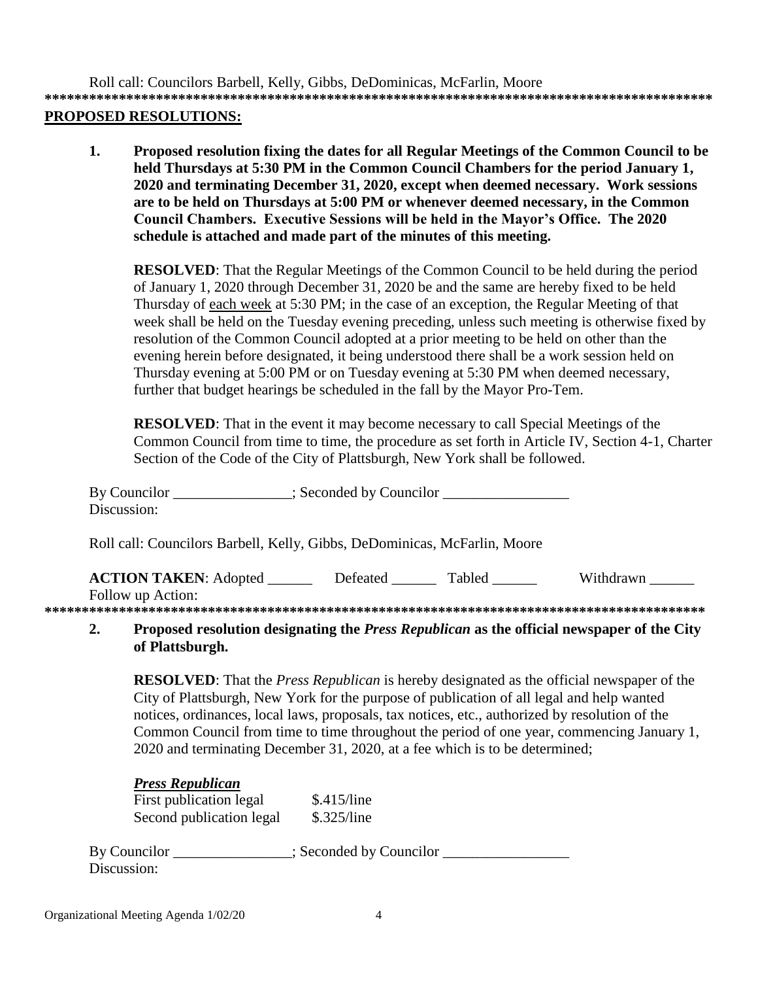Roll call: Councilors Barbell, Kelly, Gibbs, DeDominicas, McFarlin, Moore

**\*\*\*\*\*\*\*\*\*\*\*\*\*\*\*\*\*\*\*\*\*\*\*\*\*\*\*\*\*\*\*\*\*\*\*\*\*\*\*\*\*\*\*\*\*\*\*\*\*\*\*\*\*\*\*\*\*\*\*\*\*\*\*\*\*\*\*\*\*\*\*\*\*\*\*\*\*\*\*\*\*\*\*\*\*\*\*\*\*\***

#### **PROPOSED RESOLUTIONS:**

**1. Proposed resolution fixing the dates for all Regular Meetings of the Common Council to be held Thursdays at 5:30 PM in the Common Council Chambers for the period January 1, 2020 and terminating December 31, 2020, except when deemed necessary. Work sessions are to be held on Thursdays at 5:00 PM or whenever deemed necessary, in the Common Council Chambers. Executive Sessions will be held in the Mayor's Office. The 2020 schedule is attached and made part of the minutes of this meeting.**

**RESOLVED**: That the Regular Meetings of the Common Council to be held during the period of January 1, 2020 through December 31, 2020 be and the same are hereby fixed to be held Thursday of each week at 5:30 PM; in the case of an exception, the Regular Meeting of that week shall be held on the Tuesday evening preceding, unless such meeting is otherwise fixed by resolution of the Common Council adopted at a prior meeting to be held on other than the evening herein before designated, it being understood there shall be a work session held on Thursday evening at 5:00 PM or on Tuesday evening at 5:30 PM when deemed necessary, further that budget hearings be scheduled in the fall by the Mayor Pro-Tem.

**RESOLVED:** That in the event it may become necessary to call Special Meetings of the Common Council from time to time, the procedure as set forth in Article IV, Section 4-1, Charter Section of the Code of the City of Plattsburgh, New York shall be followed.

| By Councilor<br>Discussion:                                                                                                                                                                                                                           |          | $\therefore$ Seconded by Councilor |           |
|-------------------------------------------------------------------------------------------------------------------------------------------------------------------------------------------------------------------------------------------------------|----------|------------------------------------|-----------|
| Roll call: Councilors Barbell, Kelly, Gibbs, DeDominicas, McFarlin, Moore                                                                                                                                                                             |          |                                    |           |
| <b>ACTION TAKEN:</b> Adopted<br>Follow up Action:                                                                                                                                                                                                     | Defeated | Tabled                             | Withdrawn |
| $\mathbf{D}_{\text{new}}$ , and the light state of the first the $\mathbf{D}_{\text{new}}$ $\mathbf{D}_{\text{new}}$ , $\mathbf{D}_{\text{new}}$ , and $\mathbf{D}_{\text{new}}$ , and $\mathbf{D}_{\text{new}}$ are $\mathbf{D}_{\text{new}}$ . Then |          |                                    |           |

#### **2. Proposed resolution designating the** *Press Republican* **as the official newspaper of the City of Plattsburgh.**

**RESOLVED**: That the *Press Republican* is hereby designated as the official newspaper of the City of Plattsburgh, New York for the purpose of publication of all legal and help wanted notices, ordinances, local laws, proposals, tax notices, etc., authorized by resolution of the Common Council from time to time throughout the period of one year, commencing January 1, 2020 and terminating December 31, 2020, at a fee which is to be determined;

## *Press Republican*

First publication legal \$.415/line Second publication legal \$.325/line

By Councilor  $\qquad \qquad$  ; Seconded by Councilor Discussion: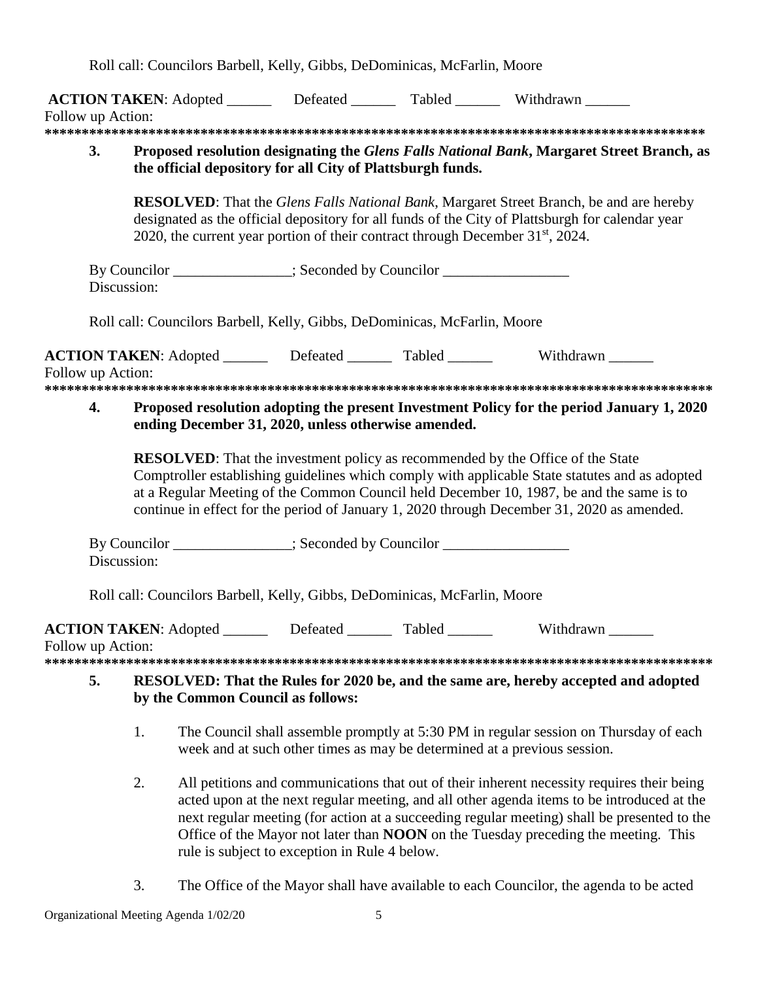Roll call: Councilors Barbell, Kelly, Gibbs, DeDominicas, McFarlin, Moore

|                   |                                                                                                 |                                               | ACTION TAKEN: Adopted ________ Defeated _______ Tabled _______ Withdrawn ______                                                                                                                                                                                                                                                                                                   |  |
|-------------------|-------------------------------------------------------------------------------------------------|-----------------------------------------------|-----------------------------------------------------------------------------------------------------------------------------------------------------------------------------------------------------------------------------------------------------------------------------------------------------------------------------------------------------------------------------------|--|
| Follow up Action: |                                                                                                 |                                               |                                                                                                                                                                                                                                                                                                                                                                                   |  |
|                   |                                                                                                 |                                               |                                                                                                                                                                                                                                                                                                                                                                                   |  |
| 3.                | the official depository for all City of Plattsburgh funds.                                      |                                               | Proposed resolution designating the Glens Falls National Bank, Margaret Street Branch, as                                                                                                                                                                                                                                                                                         |  |
|                   | 2020, the current year portion of their contract through December 31 <sup>st</sup> , 2024.      |                                               | <b>RESOLVED:</b> That the Glens Falls National Bank, Margaret Street Branch, be and are hereby<br>designated as the official depository for all funds of the City of Plattsburgh for calendar year                                                                                                                                                                                |  |
|                   | By Councilor ______________; Seconded by Councilor _____________________________<br>Discussion: |                                               |                                                                                                                                                                                                                                                                                                                                                                                   |  |
|                   | Roll call: Councilors Barbell, Kelly, Gibbs, DeDominicas, McFarlin, Moore                       |                                               |                                                                                                                                                                                                                                                                                                                                                                                   |  |
| Follow up Action: |                                                                                                 |                                               | <b>ACTION TAKEN:</b> Adopted _________ Defeated ________ Tabled _______ Withdrawn _____                                                                                                                                                                                                                                                                                           |  |
| 4.                | ending December 31, 2020, unless otherwise amended.                                             |                                               | Proposed resolution adopting the present Investment Policy for the period January 1, 2020                                                                                                                                                                                                                                                                                         |  |
|                   |                                                                                                 |                                               | <b>RESOLVED:</b> That the investment policy as recommended by the Office of the State<br>Comptroller establishing guidelines which comply with applicable State statutes and as adopted<br>at a Regular Meeting of the Common Council held December 10, 1987, be and the same is to<br>continue in effect for the period of January 1, 2020 through December 31, 2020 as amended. |  |
|                   | By Councilor ______________; Seconded by Councilor _____________________________<br>Discussion: |                                               |                                                                                                                                                                                                                                                                                                                                                                                   |  |
|                   | Roll call: Councilors Barbell, Kelly, Gibbs, DeDominicas, McFarlin, Moore                       |                                               |                                                                                                                                                                                                                                                                                                                                                                                   |  |
| Follow up Action: | ACTION TAKEN: Adopted ________ Defeated _______ Tabled ______                                   |                                               | Withdrawn                                                                                                                                                                                                                                                                                                                                                                         |  |
| 5.                | by the Common Council as follows:                                                               |                                               | RESOLVED: That the Rules for 2020 be, and the same are, hereby accepted and adopted                                                                                                                                                                                                                                                                                               |  |
|                   | 1.                                                                                              |                                               | The Council shall assemble promptly at 5:30 PM in regular session on Thursday of each<br>week and at such other times as may be determined at a previous session.                                                                                                                                                                                                                 |  |
|                   | 2.                                                                                              | rule is subject to exception in Rule 4 below. | All petitions and communications that out of their inherent necessity requires their being<br>acted upon at the next regular meeting, and all other agenda items to be introduced at the<br>next regular meeting (for action at a succeeding regular meeting) shall be presented to the<br>Office of the Mayor not later than NOON on the Tuesday preceding the meeting. This     |  |

3. The Office of the Mayor shall have available to each Councilor, the agenda to be acted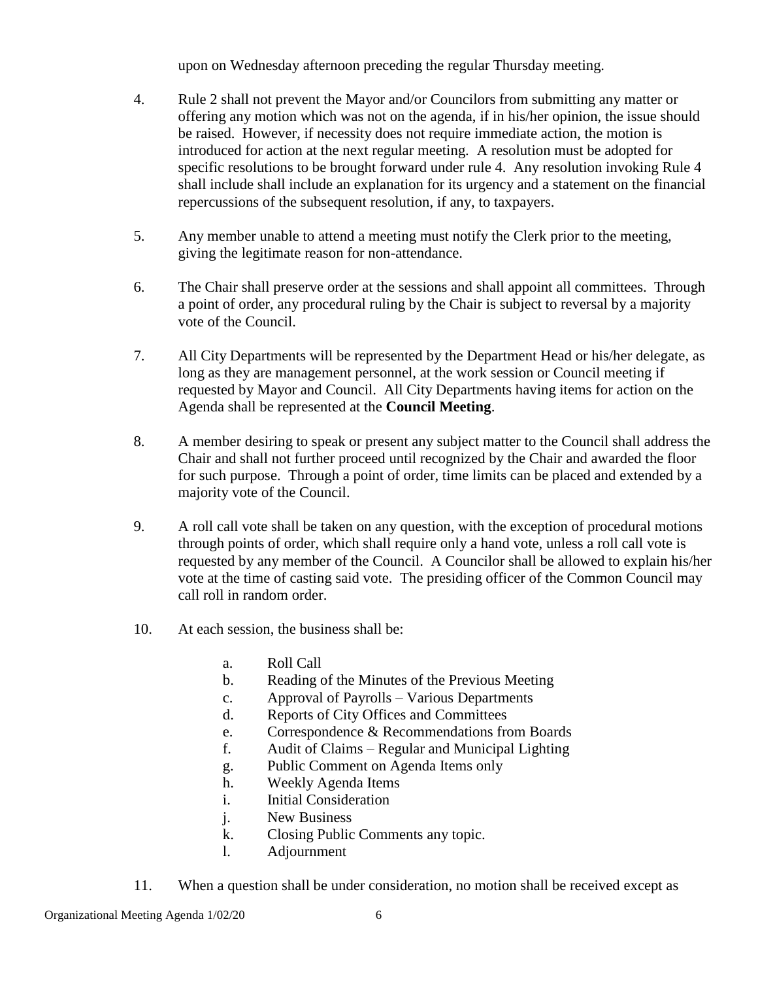upon on Wednesday afternoon preceding the regular Thursday meeting.

- 4. Rule 2 shall not prevent the Mayor and/or Councilors from submitting any matter or offering any motion which was not on the agenda, if in his/her opinion, the issue should be raised. However, if necessity does not require immediate action, the motion is introduced for action at the next regular meeting. A resolution must be adopted for specific resolutions to be brought forward under rule 4. Any resolution invoking Rule 4 shall include shall include an explanation for its urgency and a statement on the financial repercussions of the subsequent resolution, if any, to taxpayers.
- 5. Any member unable to attend a meeting must notify the Clerk prior to the meeting, giving the legitimate reason for non-attendance.
- 6. The Chair shall preserve order at the sessions and shall appoint all committees. Through a point of order, any procedural ruling by the Chair is subject to reversal by a majority vote of the Council.
- 7. All City Departments will be represented by the Department Head or his/her delegate, as long as they are management personnel, at the work session or Council meeting if requested by Mayor and Council. All City Departments having items for action on the Agenda shall be represented at the **Council Meeting**.
- 8. A member desiring to speak or present any subject matter to the Council shall address the Chair and shall not further proceed until recognized by the Chair and awarded the floor for such purpose. Through a point of order, time limits can be placed and extended by a majority vote of the Council.
- 9. A roll call vote shall be taken on any question, with the exception of procedural motions through points of order, which shall require only a hand vote, unless a roll call vote is requested by any member of the Council. A Councilor shall be allowed to explain his/her vote at the time of casting said vote. The presiding officer of the Common Council may call roll in random order.
- 10. At each session, the business shall be:
	- a. Roll Call
	- b. Reading of the Minutes of the Previous Meeting
	- c. Approval of Payrolls Various Departments
	- d. Reports of City Offices and Committees
	- e. Correspondence & Recommendations from Boards
	- f. Audit of Claims Regular and Municipal Lighting
	- g. Public Comment on Agenda Items only
	- h. Weekly Agenda Items
	- i. Initial Consideration
	- j. New Business
	- k. Closing Public Comments any topic.
	- l. Adjournment
- 11. When a question shall be under consideration, no motion shall be received except as

Organizational Meeting Agenda 1/02/20 6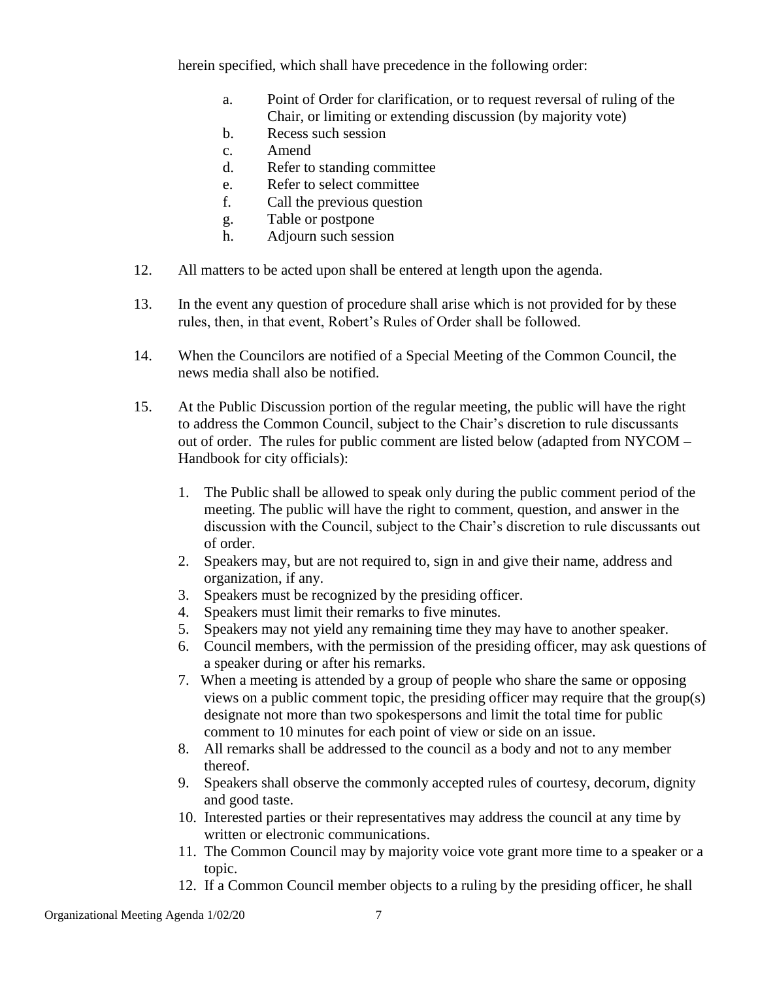herein specified, which shall have precedence in the following order:

- a. Point of Order for clarification, or to request reversal of ruling of the Chair, or limiting or extending discussion (by majority vote)
- b. Recess such session
- c. Amend
- d. Refer to standing committee
- e. Refer to select committee
- f. Call the previous question
- g. Table or postpone
- h. Adjourn such session
- 12. All matters to be acted upon shall be entered at length upon the agenda.
- 13. In the event any question of procedure shall arise which is not provided for by these rules, then, in that event, Robert's Rules of Order shall be followed.
- 14. When the Councilors are notified of a Special Meeting of the Common Council, the news media shall also be notified.
- 15. At the Public Discussion portion of the regular meeting, the public will have the right to address the Common Council, subject to the Chair's discretion to rule discussants out of order. The rules for public comment are listed below (adapted from NYCOM – Handbook for city officials):
	- 1. The Public shall be allowed to speak only during the public comment period of the meeting. The public will have the right to comment, question, and answer in the discussion with the Council, subject to the Chair's discretion to rule discussants out of order.
	- 2. Speakers may, but are not required to, sign in and give their name, address and organization, if any.
	- 3. Speakers must be recognized by the presiding officer.
	- 4. Speakers must limit their remarks to five minutes.
	- 5. Speakers may not yield any remaining time they may have to another speaker.
	- 6. Council members, with the permission of the presiding officer, may ask questions of a speaker during or after his remarks.
	- 7. When a meeting is attended by a group of people who share the same or opposing views on a public comment topic, the presiding officer may require that the group(s) designate not more than two spokespersons and limit the total time for public comment to 10 minutes for each point of view or side on an issue.
	- 8. All remarks shall be addressed to the council as a body and not to any member thereof.
	- 9. Speakers shall observe the commonly accepted rules of courtesy, decorum, dignity and good taste.
	- 10. Interested parties or their representatives may address the council at any time by written or electronic communications.
	- 11. The Common Council may by majority voice vote grant more time to a speaker or a topic.
	- 12. If a Common Council member objects to a ruling by the presiding officer, he shall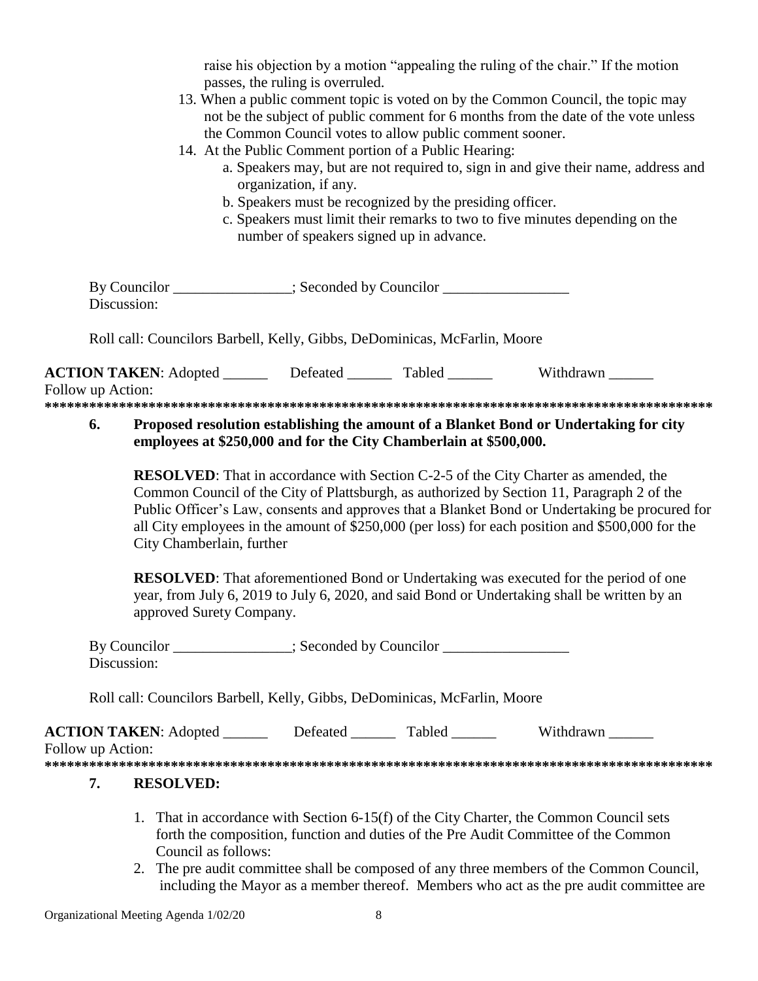raise his objection by a motion "appealing the ruling of the chair." If the motion passes, the ruling is overruled.

- 13. When a public comment topic is voted on by the Common Council, the topic may not be the subject of public comment for 6 months from the date of the vote unless the Common Council votes to allow public comment sooner.
- 14. At the Public Comment portion of a Public Hearing:
	- a. Speakers may, but are not required to, sign in and give their name, address and organization, if any.
	- b. Speakers must be recognized by the presiding officer.
	- c. Speakers must limit their remarks to two to five minutes depending on the number of speakers signed up in advance.

| By Councilor | : Seconded by Councilor |  |
|--------------|-------------------------|--|
| Discussion:  |                         |  |
|              |                         |  |

Roll call: Councilors Barbell, Kelly, Gibbs, DeDominicas, McFarlin, Moore

**ACTION TAKEN:** Adopted **Defeated** Tabled Withdrawn Follow up Action: **\*\*\*\*\*\*\*\*\*\*\*\*\*\*\*\*\*\*\*\*\*\*\*\*\*\*\*\*\*\*\*\*\*\*\*\*\*\*\*\*\*\*\*\*\*\*\*\*\*\*\*\*\*\*\*\*\*\*\*\*\*\*\*\*\*\*\*\*\*\*\*\*\*\*\*\*\*\*\*\*\*\*\*\*\*\*\*\*\*\***

## **6. Proposed resolution establishing the amount of a Blanket Bond or Undertaking for city employees at \$250,000 and for the City Chamberlain at \$500,000.**

**RESOLVED**: That in accordance with Section C-2-5 of the City Charter as amended, the Common Council of the City of Plattsburgh, as authorized by Section 11, Paragraph 2 of the Public Officer's Law, consents and approves that a Blanket Bond or Undertaking be procured for all City employees in the amount of \$250,000 (per loss) for each position and \$500,000 for the City Chamberlain, further

**RESOLVED**: That aforementioned Bond or Undertaking was executed for the period of one year, from July 6, 2019 to July 6, 2020, and said Bond or Undertaking shall be written by an approved Surety Company.

| By Councilor | : Seconded by Councilor |
|--------------|-------------------------|
| Discussion:  |                         |

Roll call: Councilors Barbell, Kelly, Gibbs, DeDominicas, McFarlin, Moore

| <b>ACTION TAKEN:</b> Adopted | Defeated | Tabled | Withdrawn |  |
|------------------------------|----------|--------|-----------|--|
| Follow up Action:            |          |        |           |  |
|                              |          |        |           |  |

# **7. RESOLVED:**

- 1. That in accordance with Section 6-15(f) of the City Charter, the Common Council sets forth the composition, function and duties of the Pre Audit Committee of the Common Council as follows:
- 2. The pre audit committee shall be composed of any three members of the Common Council, including the Mayor as a member thereof. Members who act as the pre audit committee are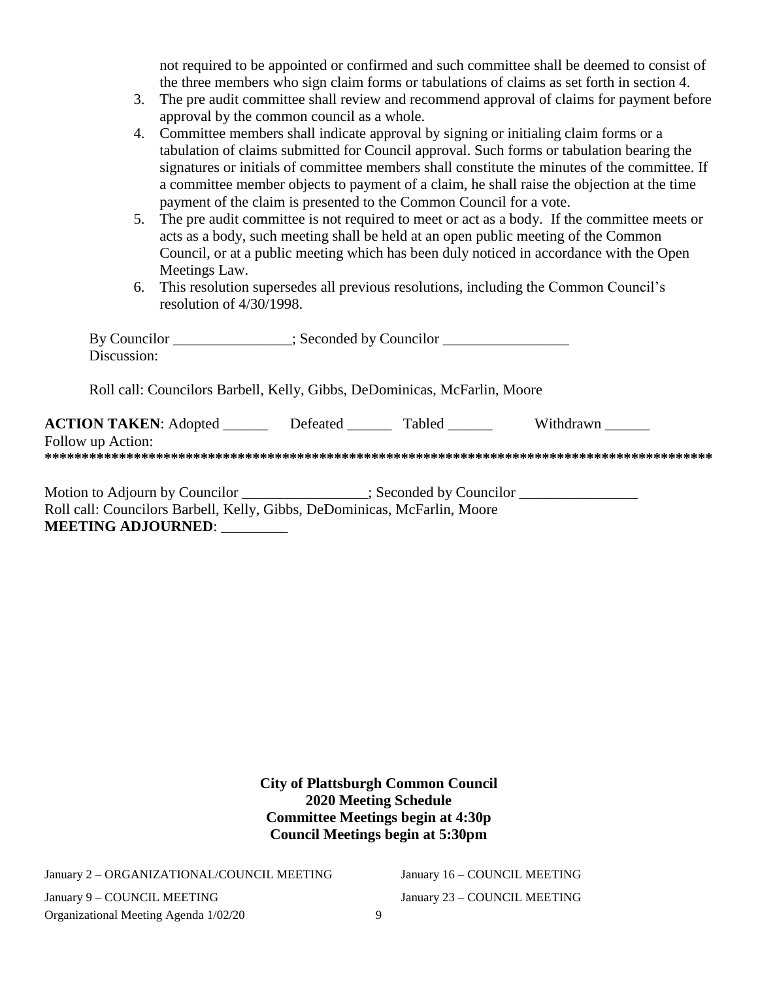not required to be appointed or confirmed and such committee shall be deemed to consist of the three members who sign claim forms or tabulations of claims as set forth in section 4.

- 3. The pre audit committee shall review and recommend approval of claims for payment before approval by the common council as a whole.
- 4. Committee members shall indicate approval by signing or initialing claim forms or a tabulation of claims submitted for Council approval. Such forms or tabulation bearing the signatures or initials of committee members shall constitute the minutes of the committee. If a committee member objects to payment of a claim, he shall raise the objection at the time payment of the claim is presented to the Common Council for a vote.
- 5. The pre audit committee is not required to meet or act as a body. If the committee meets or acts as a body, such meeting shall be held at an open public meeting of the Common Council, or at a public meeting which has been duly noticed in accordance with the Open Meetings Law.
- 6. This resolution supersedes all previous resolutions, including the Common Council's resolution of 4/30/1998.

| By Councilor<br>Discussion:                                                                                                                                    |          | $\therefore$ Seconded by Councilor |           |  |
|----------------------------------------------------------------------------------------------------------------------------------------------------------------|----------|------------------------------------|-----------|--|
| Roll call: Councilors Barbell, Kelly, Gibbs, DeDominicas, McFarlin, Moore                                                                                      |          |                                    |           |  |
| <b>ACTION TAKEN:</b> Adopted<br>Follow up Action:                                                                                                              | Defeated | <b>Tabled</b>                      | Withdrawn |  |
| Motion to Adjourn by Councilor ______________; Seconded by Councilor ____________<br>Roll call: Councilors Barbell, Kelly, Gibbs, DeDominicas, McFarlin, Moore |          |                                    |           |  |

**MEETING ADJOURNED**: \_\_\_\_\_\_\_\_\_

**City of Plattsburgh Common Council 2020 Meeting Schedule Committee Meetings begin at 4:30p Council Meetings begin at 5:30pm**

January 2 – ORGANIZATIONAL/COUNCIL MEETING

Organizational Meeting Agenda 1/02/20 9 January 9 – COUNCIL MEETING

January 16 – COUNCIL MEETING January 23 – COUNCIL MEETING